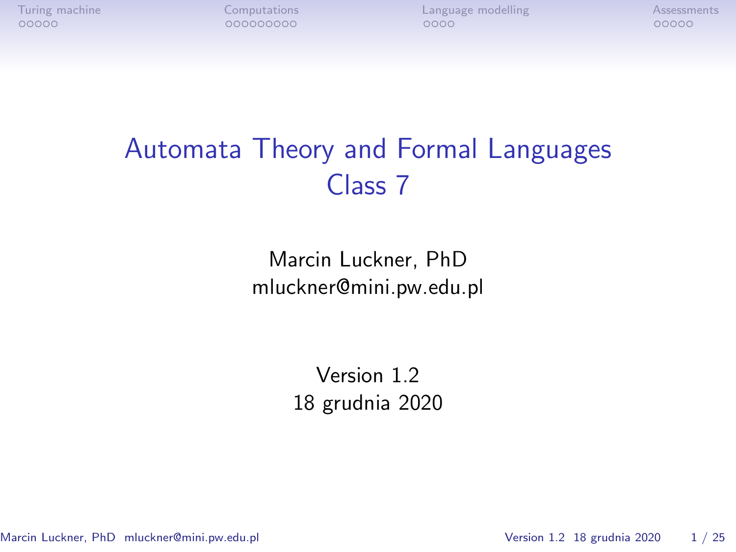[Turing machine](#page-1-0) [Computations](#page-6-0) [Language modelling](#page-15-0) [Assessments](#page-19-0)<br>  $00000$   $00000000$   $0000$   $0000$   $0000$   $0000$ 

# Automata Theory and Formal Languages Class 7

Marcin Luckner, PhD mluckner@mini.pw.edu.pl

> Version 1.2 18 grudnia 2020

Marcin Luckner, PhD mluckner@mini.pw.edu.pl Version 1.2 18 grudnia 2020 1/25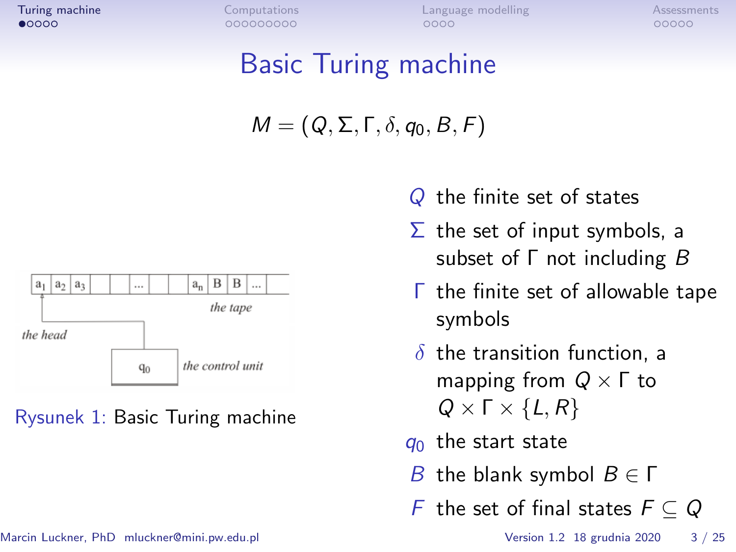<span id="page-1-0"></span>

# Basic Turing machine

$$
M=(Q,\Sigma,\Gamma,\delta,q_0,B,F)
$$



Rysunek 1: Basic Turing machine

- Q the finite set of states
- $\Sigma$  the set of input symbols, a subset of Γ not including B
- Γ the finite set of allowable tape symbols
- *δ* the transition function, a mapping from Q *×* Γ to Q *×* Γ *× {*L*,* R*}*
- $q_0$  the start state
- B the blank symbol B *∈* Γ
- F the set of final states F *⊆* Q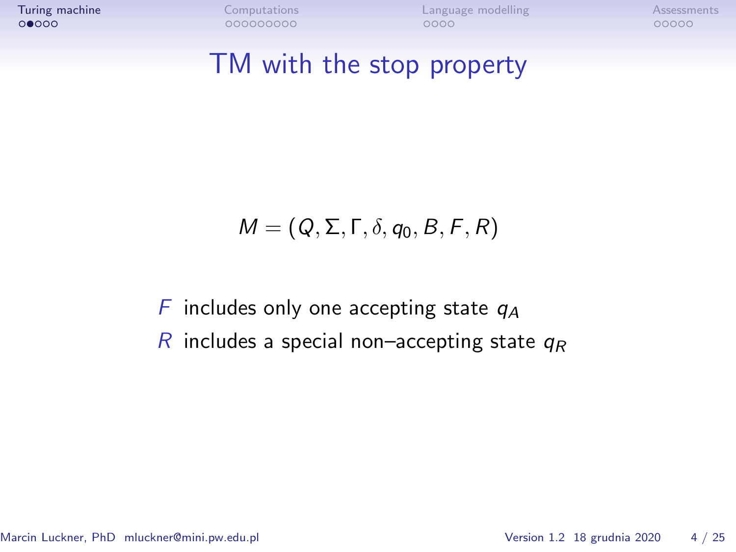#### TM with the stop property

$$
M=(Q,\Sigma,\Gamma,\delta,q_0,B,F,R)
$$

F includes only one accepting state  $q_A$ R includes a special non–accepting state  $q_R$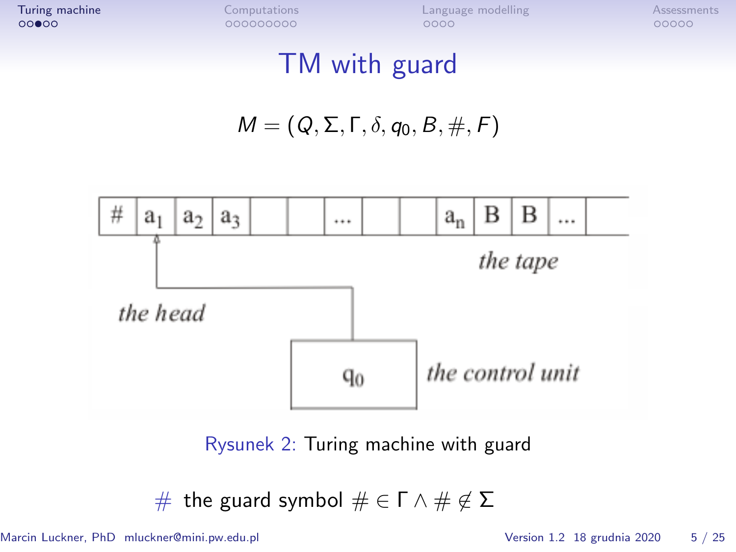### TM with guard

$$
M=(Q,\Sigma,\Gamma,\delta,q_0,B,\#,F)
$$



Rysunek 2: Turing machine with guard

# the guard symbol # *∈* Γ *∧* # *6∈* Σ

Marcin Luckner, PhD mluckner@mini.pw.edu.pl Version 1.2 18 grudnia 2020 5 / 25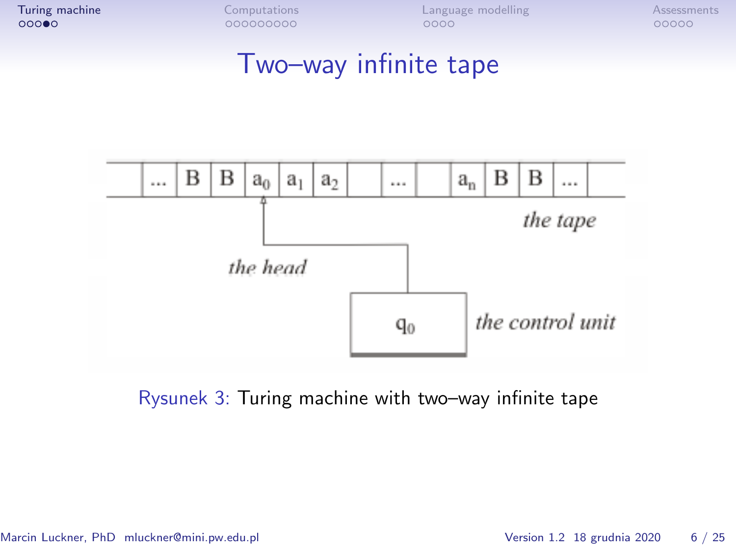#### Two–way infinite tape



Rysunek 3: Turing machine with two–way infinite tape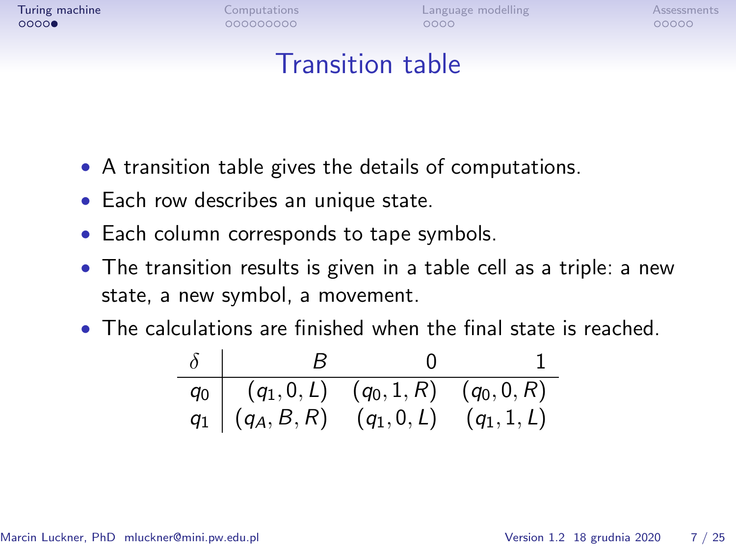#### Transition table

- A transition table gives the details of computations.
- Each row describes an unique state.
- Each column corresponds to tape symbols.
- The transition results is given in a table cell as a triple: a new state, a new symbol, a movement.
- The calculations are finished when the final state is reached.

| $\delta$ |                                                                                                                     |  |
|----------|---------------------------------------------------------------------------------------------------------------------|--|
|          | $\begin{array}{c cc} q_0 & (q_1,0,L) & (q_0,1,R) & (q_0,0,R) \ q_1 & (q_A,B,R) & (q_1,0,L) & (q_1,1,L) \end{array}$ |  |
|          |                                                                                                                     |  |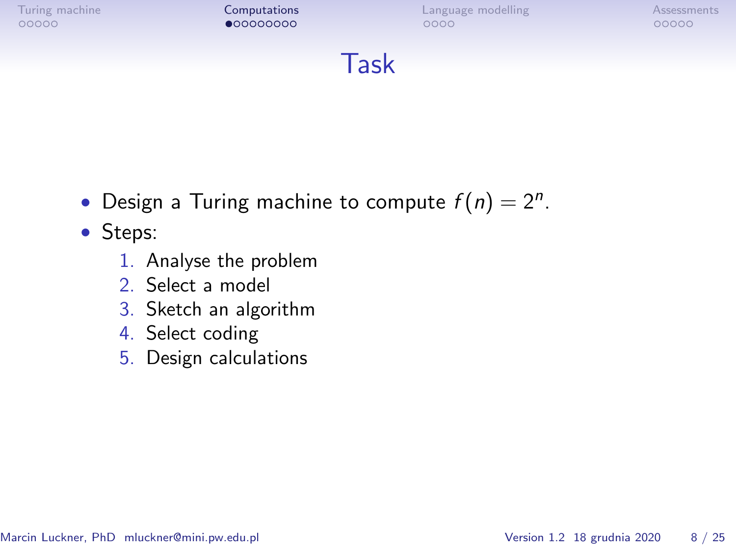<span id="page-6-0"></span>



- Design a Turing machine to compute  $f(n) = 2^n$ .
- Steps:
	- 1. Analyse the problem
	- 2. Select a model
	- 3. Sketch an algorithm
	- 4. Select coding
	- 5. Design calculations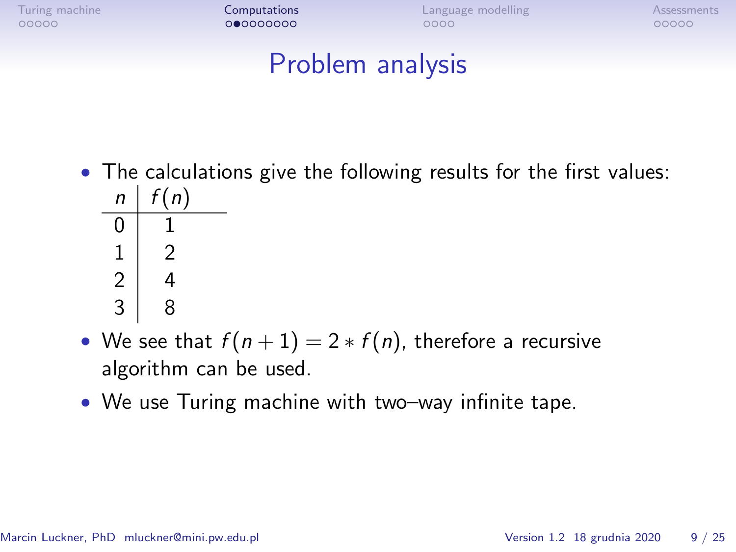[Turing machine](#page-1-0) **[Computations](#page-6-0) Computations** [Language modelling](#page-15-0) [Assessments](#page-19-0) Assessments

#### Problem analysis

- The calculations give the following results for the first values:  $n \mid f(n)$  $0 \mid 1$ 1 2  $2 \mid 4$  $3 \mid 8$
- We see that  $f(n+1) = 2 * f(n)$ , therefore a recursive algorithm can be used.
- We use Turing machine with two–way infinite tape.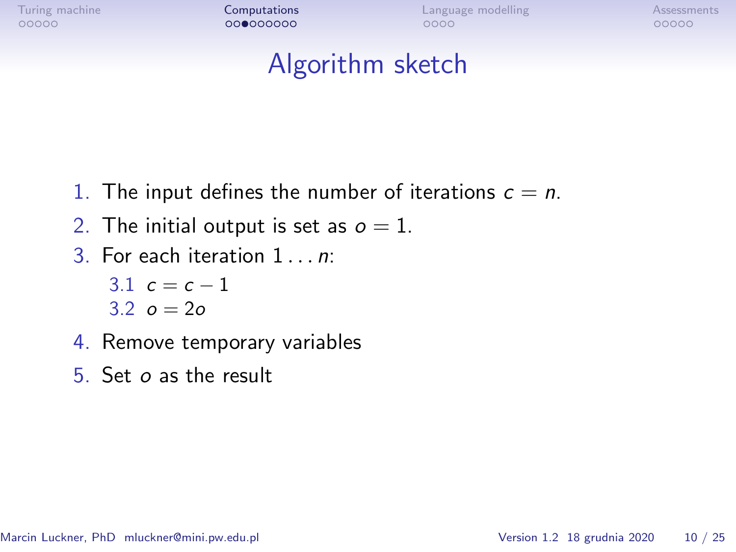[Turing machine](#page-1-0) **[Computations](#page-6-0) Computations** [Language modelling](#page-15-0) [Assessments](#page-19-0) Assessments

#### Algorithm sketch

- 1. The input defines the number of iterations  $c = n$ .
- 2. The initial output is set as  $o = 1$ .
- 3. For each iteration 1 *n*.

3.1  $c = c - 1$  $3.2 \, \rho = 2\rho$ 

- 4. Remove temporary variables
- 5. Set o as the result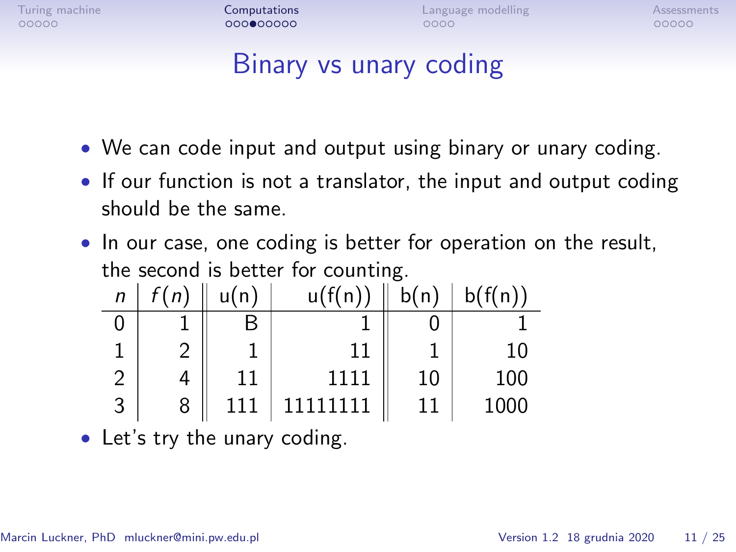[Turing machine](#page-1-0) **[Computations](#page-6-0) Computations** [Language modelling](#page-15-0) [Assessments](#page-19-0) Assessments

# Binary vs unary coding

- We can code input and output using binary or unary coding.
- If our function is not a translator, the input and output coding should be the same.
- In our case, one coding is better for operation on the result, the second is better for counting.

| $\mathsf{n}$  | f(n) | u(n) | u(f(n))  | b(n) | b(f(n)) |
|---------------|------|------|----------|------|---------|
|               |      |      |          |      |         |
|               |      |      |          |      | 10      |
| $\mathcal{P}$ |      |      | 1111     | 10   | 100     |
| -3            | 8    | 111  | 11111111 | 11   | 1000    |

• Let's try the unary coding.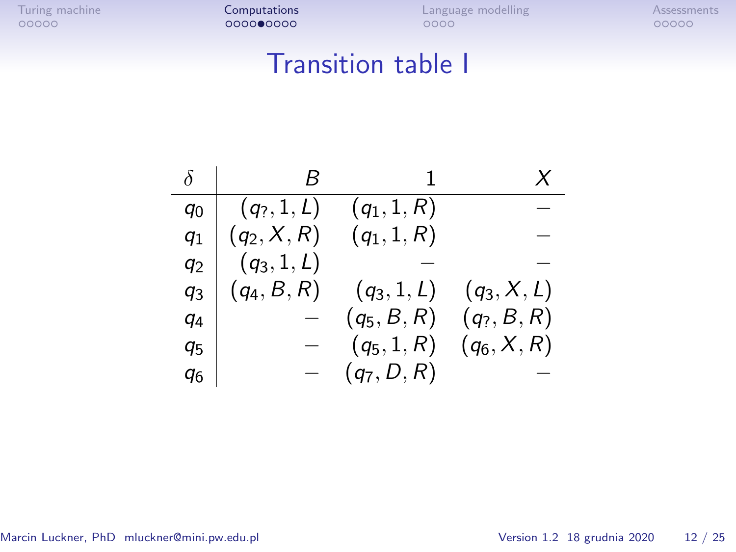### Transition table I

| δ              |               |               | X             |
|----------------|---------------|---------------|---------------|
| ۹o             | $(q_2, 1, L)$ | $(q_1, 1, R)$ |               |
| $q_1$          | $(q_2, X, R)$ | $(q_1, 1, R)$ |               |
| q2             | $(q_3, 1, L)$ |               |               |
| q <sub>3</sub> | $(q_4, B, R)$ | $(q_3, 1, L)$ | $(q_3, X, L)$ |
| q4             |               | $(q_5, B, R)$ | $(q_?, B, R)$ |
| 95             |               | $(q_5, 1, R)$ | $(q_6, X, R)$ |
| q6             |               | $(q_7, D, R)$ |               |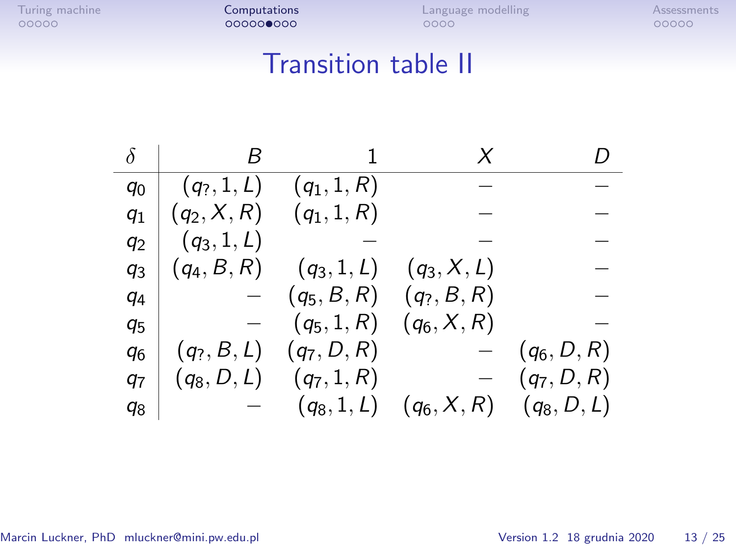## Transition table II

|                |               |               | X             |               |
|----------------|---------------|---------------|---------------|---------------|
| $q_0$          | $(q_?, 1, L)$ | $(q_1, 1, R)$ |               |               |
| $q_1$          | $(q_2, X, R)$ | $(q_1, 1, R)$ |               |               |
| $q_2$          | $(q_3, 1, L)$ |               |               |               |
| q <sub>3</sub> | $(q_4, B, R)$ | $(q_3, 1, L)$ | $(q_3, X, L)$ |               |
| q <sub>4</sub> |               | $(q_5,B,R)$   | $(q_?, B, R)$ |               |
| q <sub>5</sub> |               | $(q_5, 1, R)$ | $(q_6, X, R)$ |               |
| q <sub>6</sub> | $(q_?, B, L)$ | $(q_7, D, R)$ |               | $(q_6, D, R)$ |
| 97             | $(q_8, D, L)$ | $(q_7, 1, R)$ |               | $(q_7, D, R)$ |
| q8             |               | $(q_8, 1, L)$ | $(q_6, X, R)$ | $(q_8, D, L)$ |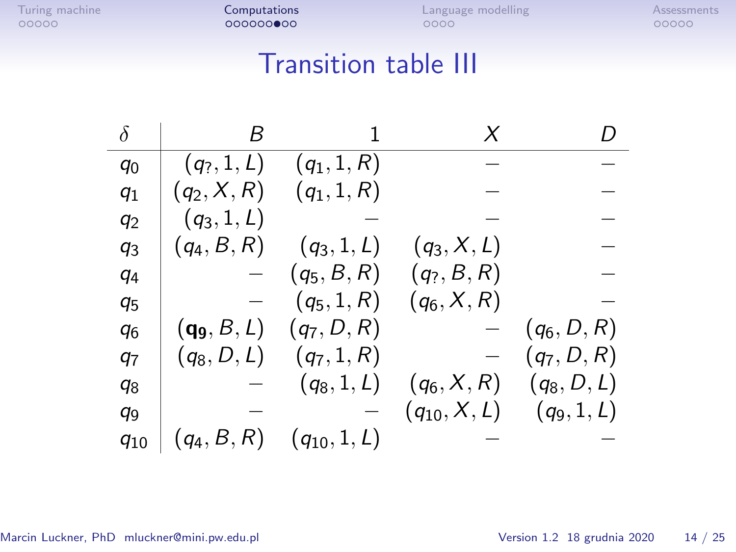# Transition table III

| δ              | B             |                  | X                | D             |
|----------------|---------------|------------------|------------------|---------------|
| $q_0$          | $(q_?, 1, L)$ | $(q_1, 1, R)$    |                  |               |
| $q_1$          | $(q_2, X, R)$ | $(q_1, 1, R)$    |                  |               |
| $q_2$          | $(q_3, 1, L)$ |                  |                  |               |
| $q_3$          | $(q_4, B, R)$ | $(q_3, 1, L)$    | $(q_3, X, L)$    |               |
| $q_4$          |               | $(q_5, B, R)$    | $(q_?, B, R)$    |               |
| $q_{5}$        |               | $(q_5, 1, R)$    | $(q_6, X, R)$    |               |
| q <sub>6</sub> | $(q_9, B, L)$ | $(q_7, D, R)$    |                  | $(q_6, D, R)$ |
| 97             | $(q_8, D, L)$ | $(q_7, 1, R)$    |                  | $(q_7, D, R)$ |
| q <sub>8</sub> |               | $(q_8, 1, L)$    | $(q_6, X, R)$    | $(q_8, D, L)$ |
| q <sub>9</sub> |               |                  | $(q_{10}, X, L)$ | $(q_9, 1, L)$ |
| $q_{10}$       | $(q_4, B, R)$ | $(q_{10}, 1, L)$ |                  |               |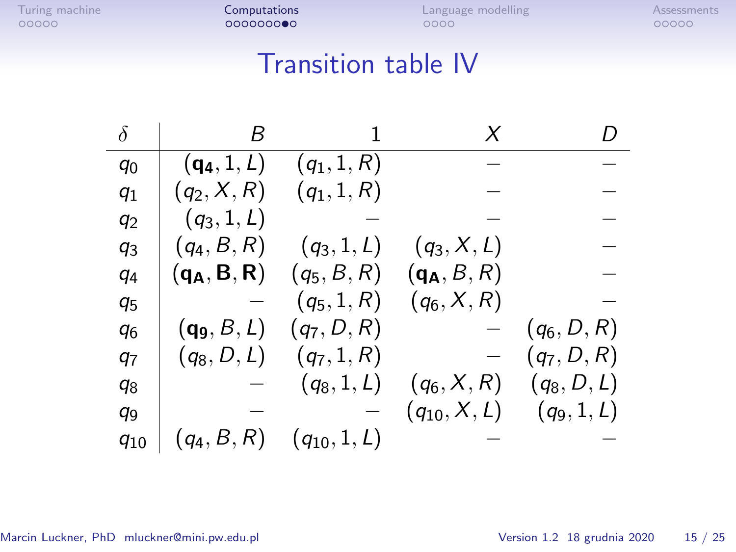# Transition table IV

| δ              | B                   | 1                | X                | D             |
|----------------|---------------------|------------------|------------------|---------------|
| $q_0$          | $({\bf q_4}, 1, L)$ | $(q_1, 1, R)$    |                  |               |
| $q_1$          | $(q_2, X, R)$       | $(q_1, 1, R)$    |                  |               |
| $q_2$          | $(q_3, 1, L)$       |                  |                  |               |
| $q_3$          | $(q_4, B, R)$       | $(q_3, 1, L)$    | $(q_3, X, L)$    |               |
| $q_4$          | $(q_A, B, R)$       | $(q_5, B, R)$    | $(q_A, B, R)$    |               |
| $q_5$          |                     | $(q_5, 1, R)$    | $(q_6, X, R)$    |               |
| q <sub>6</sub> | $(q_9, B, L)$       | $(q_7, D, R)$    |                  | $(q_6, D, R)$ |
| 97             | $(q_8, D, L)$       | $(q_7, 1, R)$    |                  | $(q_7, D, R)$ |
| q8             |                     | $(q_8, 1, L)$    | $(q_6, X, R)$    | $(q_8, D, L)$ |
| q9             |                     |                  | $(q_{10}, X, L)$ | $(q_9, 1, L)$ |
| $q_{10}$       | $(q_4, B, R)$       | $(q_{10}, 1, L)$ |                  |               |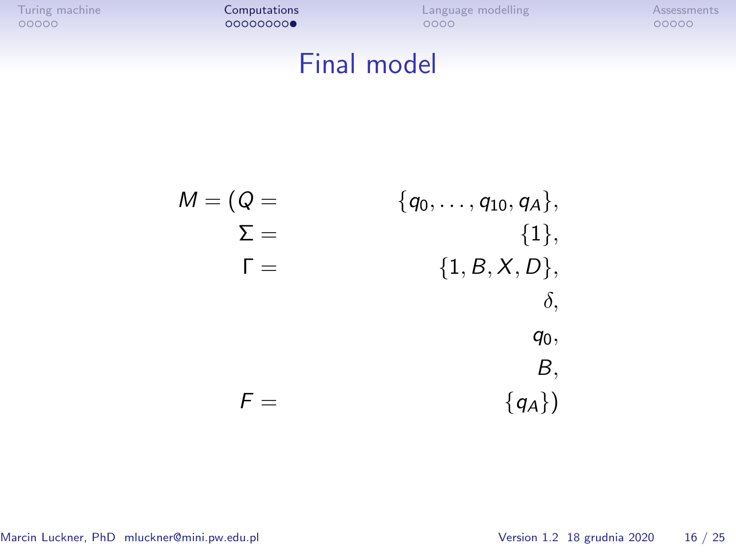[Turing machine](#page-1-0) **[Computations](#page-6-0)** [Language modelling](#page-15-0) [Assessments](#page-19-0)<br>  $\begin{array}{ccc}\n00000 & 00000000 \\
00000 & 0000\n\end{array}$ 

# Final model

$$
M = (Q = \sum_{\begin{array}{c} \sum \{d_0, \ldots, q_{10}, q_A\}, \\ \sum \{d_i\}, \\ f = \sum \{1, B, X, D\}, \\ \delta, \\ g_0, \\ B, \\ f = \sum \{q_A\}) \end{array}}
$$

Marcin Luckner, PhD mluckner@mini.pw.edu.pl Version 1.2 18 grudnia 2020 16 / 25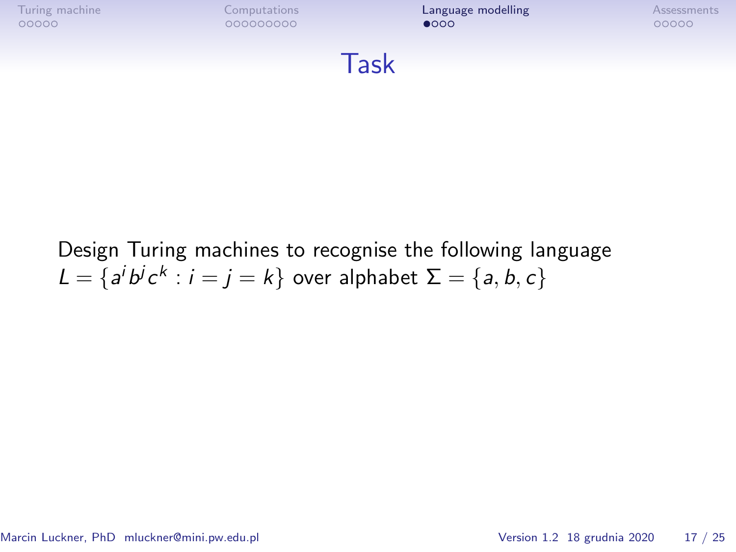<span id="page-15-0"></span>

Design Turing machines to recognise the following language  $L = \{a^i b^j c^k : i = j = k\}$  over alphabet  $\Sigma = \{a, b, c\}$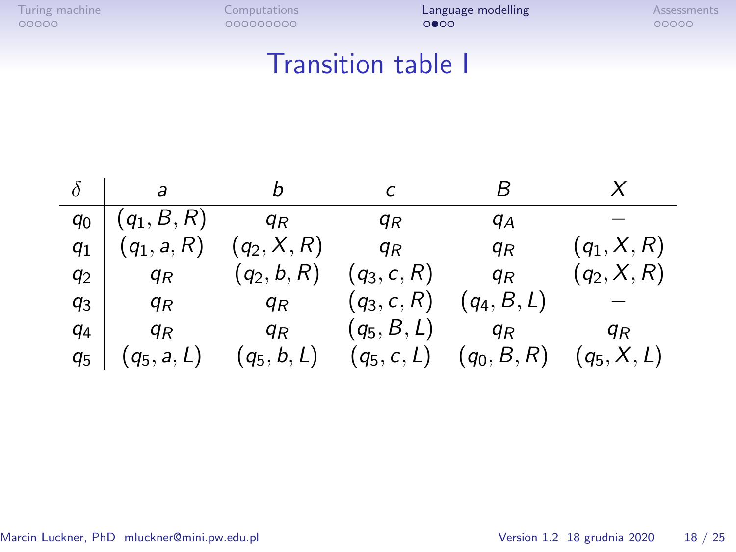### Transition table I

|         | $\overline{a}$            | b             |                     | к                                         |               |
|---------|---------------------------|---------------|---------------------|-------------------------------------------|---------------|
|         | $q_0   (q_1, B, R)$ $q_R$ |               | ЯR                  | qА                                        |               |
| $q_{1}$ | $(q_1, a, R)$             | $(q_2, X, R)$ | $q_R$               | $q_R$                                     | $(q_1, X, R)$ |
| $q_2$   | $q_R$                     | $(q_2, b, R)$ | $(q_3, c, R)$       | $q_R$                                     | $(q_2, X, R)$ |
| $q_3$   | $q_R$                     | $q_R$         | $(q_3, c, R)$       | $(q_4, B, L)$                             |               |
| q4      | q <sub>R</sub>            | $q_R$         | $(q_5, B, L)$ $q_R$ |                                           | ЧR            |
| 95      | $(q_5, a, L)$             | $(q_5,b,L)$   |                     | $(q_5, c, L)$ $(q_0, B, R)$ $(q_5, X, L)$ |               |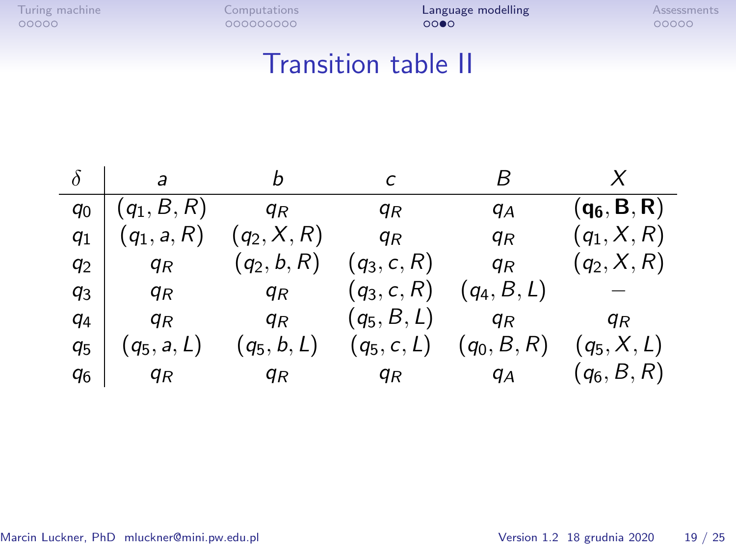### Transition table II

|                | b<br>a        |                |                | к              |                |  |
|----------------|---------------|----------------|----------------|----------------|----------------|--|
| q <sub>0</sub> | $(q_1, B, R)$ | q <sub>R</sub> | qк             | qА             | $(q_6, B, R)$  |  |
| $q_1$          | $(q_1, a, R)$ | $(q_2, X, R)$  | q <sub>R</sub> | q <sub>R</sub> | $(q_1, X, R)$  |  |
| $q_2$          | $q_R$         | $(q_2, b, R)$  | $(q_3, c, R)$  | q <sub>R</sub> | $(q_2, X, R)$  |  |
| q3             | $q_R$         | $q_R$          | $(q_3, c, R)$  | $(q_4, B, L)$  |                |  |
| $q_4$          | $q_R$         | q <sub>R</sub> | $(q_5, B, L)$  | q <sub>R</sub> | q <sub>R</sub> |  |
| 95             | $(q_5, a, L)$ | $(q_5, b, L)$  | $(q_5, c, L)$  | $(q_0, B, R)$  | $(q_5, X, L)$  |  |
| q <sub>6</sub> | $q_R$         | ЧR             | q <sub>R</sub> | $q_A$          | $(q_6, B, R)$  |  |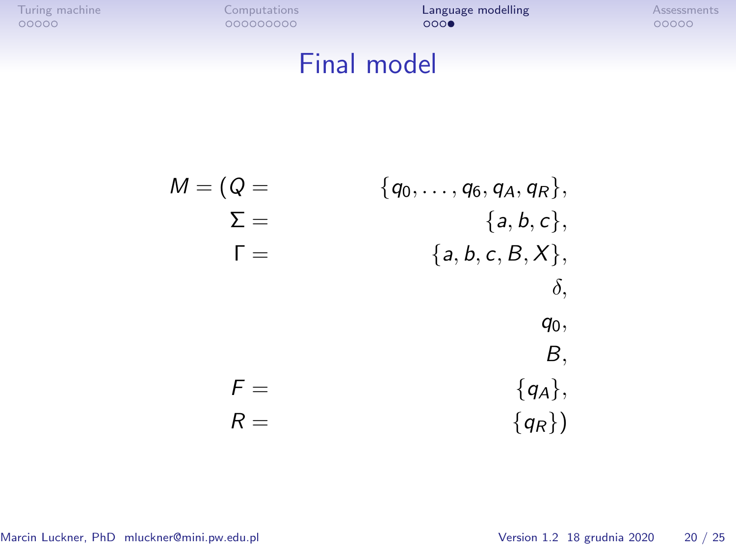# Final model

M = (Q = *{*q0*, . . . ,* q6*,* qA*,* qR*},* Σ = *{*a*,* b*,* c*},* Γ = *{*a*,* b*,* c*,* B*,* X*}, δ,* q0*,* B*,* F = *{*qA*},* R = *{*qR*}*)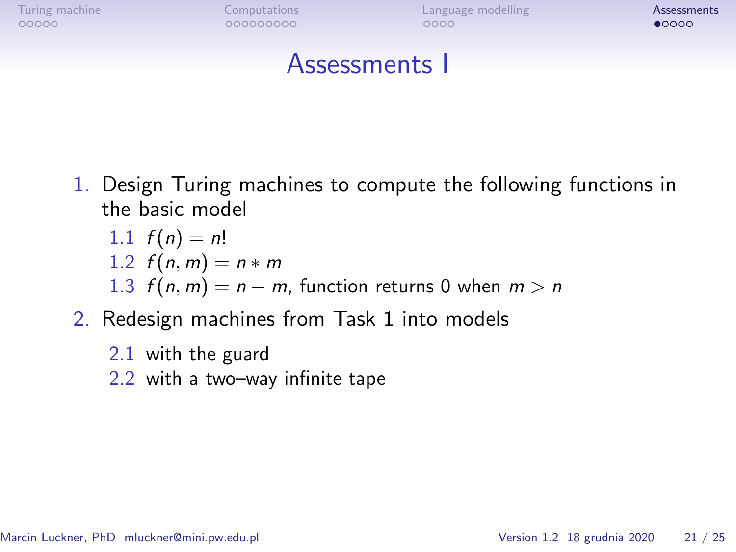<span id="page-19-0"></span>

#### Assessments I

1. Design Turing machines to compute the following functions in the basic model

1.1 
$$
f(n) = n!
$$
  
1.2  $f(n, m) = n * m$   
1.3  $f(n, m) = n - m$ , function returns 0 when  $m > n$ 

- 2. Redesign machines from Task 1 into models
	- 2.1 with the guard
	- 2.2 with a two–way infinite tape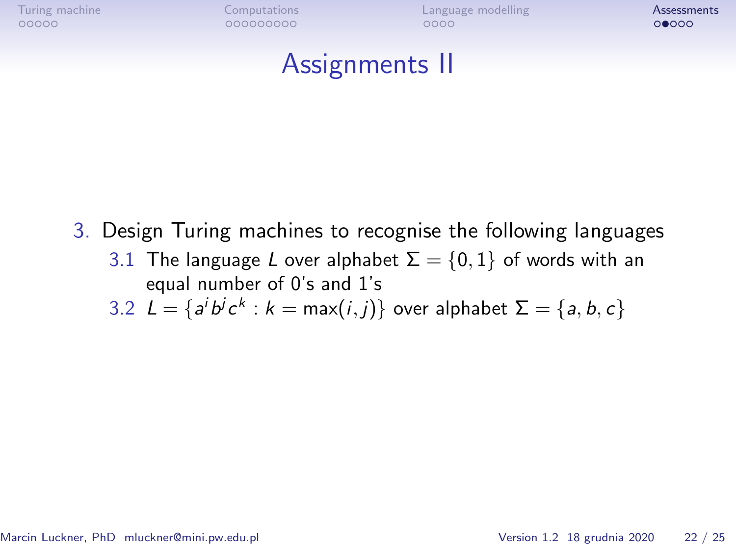[Turing machine](#page-1-0) **[Computations](#page-6-0) Computations Reserves** [Language modelling](#page-15-0) [Assessments](#page-19-0)

#### Assignments II

- 3. Design Turing machines to recognise the following languages
	- 3.1 The language L over alphabet  $\Sigma = \{0, 1\}$  of words with an equal number of 0's and 1's

3.2  $L = \{a^i b^j c^k : k = \max(i, j)\}$  over alphabet  $\Sigma = \{a, b, c\}$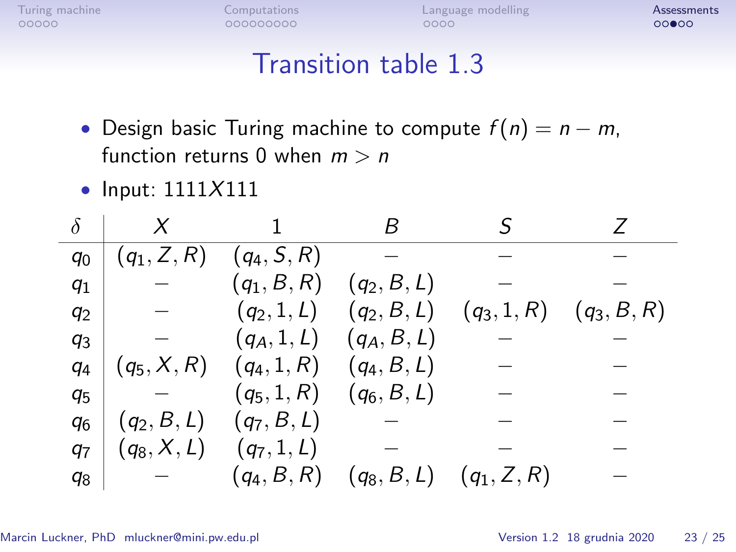#### Transition table 1.3

- Design basic Turing machine to compute f (n) = n *−* m, function returns 0 when m *>* n
- Input:  $1111X111$

| $q_0$          | $(q_1, Z, R)$ | $(q_4, S, R)$ |               |                             |               |
|----------------|---------------|---------------|---------------|-----------------------------|---------------|
| $q_1$          |               | $(q_1, B, R)$ | $(q_2, B, L)$ |                             |               |
| $q_2$          |               | $(q_2, 1, L)$ |               | $(q_2, B, L)$ $(q_3, 1, R)$ | $(q_3, B, R)$ |
| q <sub>3</sub> |               | $(q_A, 1, L)$ | $(q_A, B, L)$ |                             |               |
| $q_4$          | $(q_5, X, R)$ | $(q_4, 1, R)$ | $(q_4, B, L)$ |                             |               |
| q <sub>5</sub> |               | $(q_5, 1, R)$ | $(q_6, B, L)$ |                             |               |
| q <sub>6</sub> | $(q_2, B, L)$ | $(q_7, B, L)$ |               |                             |               |
| 97             | $(q_8, X, L)$ | $(q_7, 1, L)$ |               |                             |               |
| $q_8$          |               | $(q_4, B, R)$ | $(q_8, B, L)$ | $(q_1, Z, R)$               |               |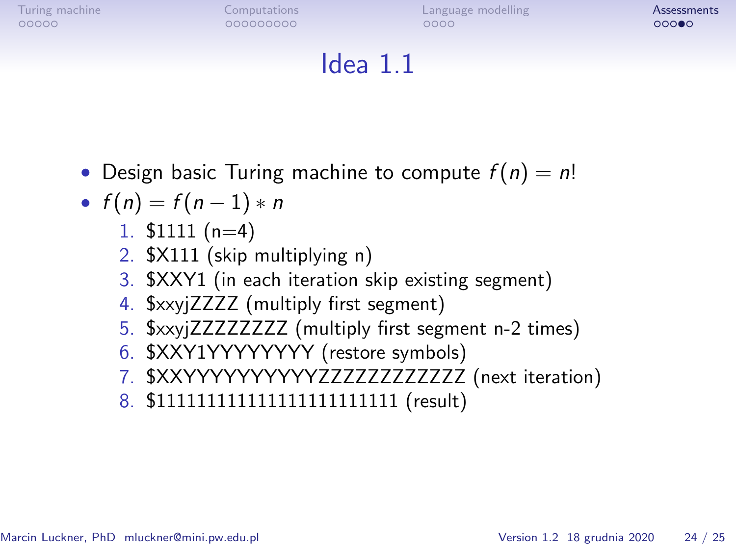[Turing machine](#page-1-0) **[Computations](#page-6-0) Computations Reserves** [Language modelling](#page-15-0) [Assessments](#page-19-0)

# Idea 1.1

• Design basic Turing machine to compute  $f(n) = n!$ 

• 
$$
f(n) = f(n-1) * n
$$

- 1.  $$1111 (n=4)$
- 2. \$X111 (skip multiplying n)
- 3. \$XXY1 (in each iteration skip existing segment)
- 4. \$xxyjZZZZ (multiply first segment)
- 5. \$xxyjZZZZZZZZ (multiply first segment n-2 times)
- 6. \$XXY1YYYYYYYY (restore symbols)
- 7. \$XXYYYYYYYYYYZZZZZZZZZZZZ (next iteration)
- 8. \$111111111111111111111111 (result)